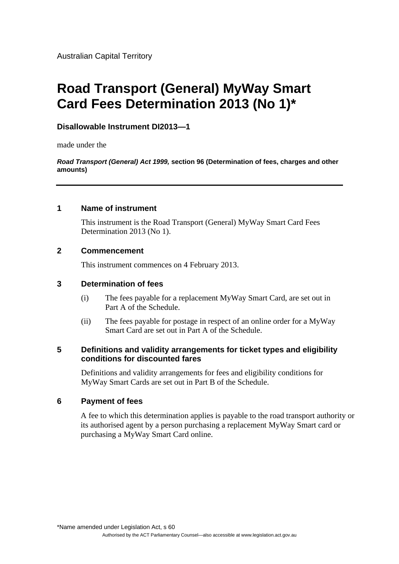Australian Capital Territory

# **Road Transport (General) MyWay Smart Card Fees Determination 2013 (No 1)\***

# **Disallowable Instrument DI2013—1**

made under the

*Road Transport (General) Act 1999,* **section 96 (Determination of fees, charges and other amounts)** 

## **1 Name of instrument**

This instrument is the Road Transport (General) MyWay Smart Card Fees Determination 2013 (No 1).

## **2 Commencement**

This instrument commences on 4 February 2013.

## **3 Determination of fees**

- (i) The fees payable for a replacement MyWay Smart Card, are set out in Part A of the Schedule.
- (ii) The fees payable for postage in respect of an online order for a MyWay Smart Card are set out in Part A of the Schedule.

## **5 Definitions and validity arrangements for ticket types and eligibility conditions for discounted fares**

Definitions and validity arrangements for fees and eligibility conditions for MyWay Smart Cards are set out in Part B of the Schedule.

## **6 Payment of fees**

A fee to which this determination applies is payable to the road transport authority or its authorised agent by a person purchasing a replacement MyWay Smart card or purchasing a MyWay Smart Card online.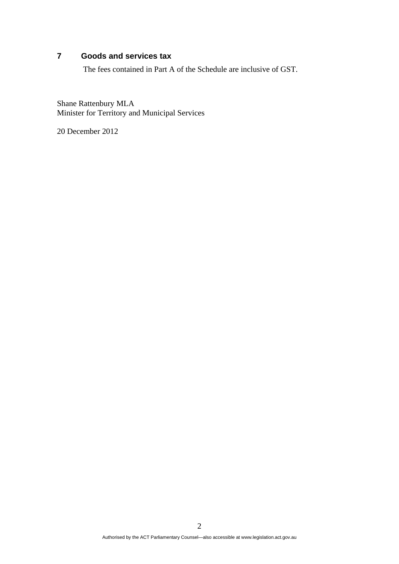## **7 Goods and services tax**

The fees contained in Part A of the Schedule are inclusive of GST.

Shane Rattenbury MLA Minister for Territory and Municipal Services

20 December 2012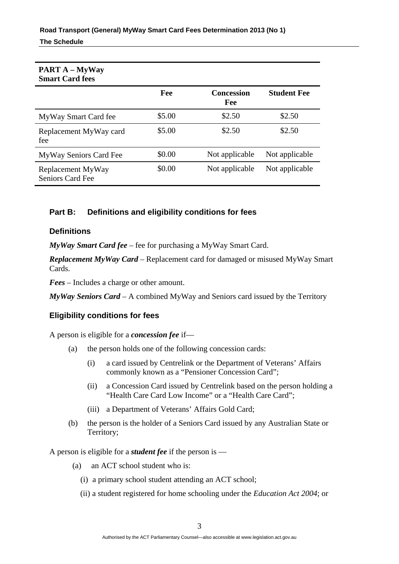| <b>PART A – MyWay</b><br><b>Smart Card fees</b> |        |                   |                    |
|-------------------------------------------------|--------|-------------------|--------------------|
|                                                 | Fee    | Concession<br>Fee | <b>Student Fee</b> |
| MyWay Smart Card fee                            | \$5.00 | \$2.50            | \$2.50             |
| Replacement MyWay card<br>fee                   | \$5.00 | \$2.50            | \$2.50             |
| MyWay Seniors Card Fee                          | \$0.00 | Not applicable    | Not applicable     |
| Replacement MyWay<br><b>Seniors Card Fee</b>    | \$0.00 | Not applicable    | Not applicable     |

# **Part B: Definitions and eligibility conditions for fees**

## **Definitions**

*MyWay Smart Card fee* – fee for purchasing a MyWay Smart Card.

*Replacement MyWay Card* – Replacement card for damaged or misused MyWay Smart Cards.

*Fees* – Includes a charge or other amount.

*MyWay Seniors Card* – A combined MyWay and Seniors card issued by the Territory

# **Eligibility conditions for fees**

A person is eligible for a *concession fee* if—

- (a) the person holds one of the following concession cards:
	- (i) a card issued by Centrelink or the Department of Veterans' Affairs commonly known as a "Pensioner Concession Card";
	- (ii) a Concession Card issued by Centrelink based on the person holding a "Health Care Card Low Income" or a "Health Care Card";
	- (iii) a Department of Veterans' Affairs Gold Card;
- (b) the person is the holder of a Seniors Card issued by any Australian State or Territory;

A person is eligible for a *student fee* if the person is —

- (a) an ACT school student who is:
	- (i) a primary school student attending an ACT school;
	- (ii) a student registered for home schooling under the *Education Act 2004*; or